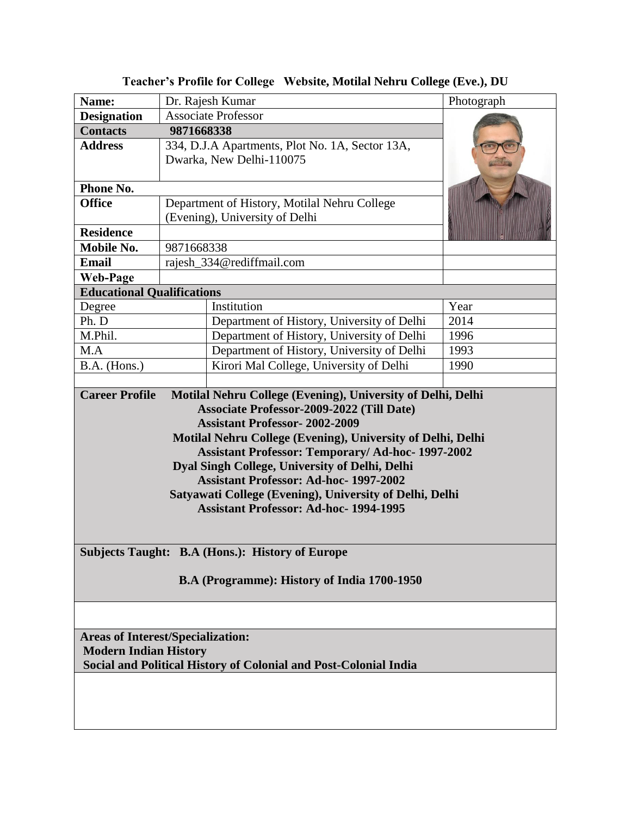| Name:                                                                                                                                                                                                                                                                                                                                                                                                                                                                                                                              | Dr. Rajesh Kumar                                | Photograph |
|------------------------------------------------------------------------------------------------------------------------------------------------------------------------------------------------------------------------------------------------------------------------------------------------------------------------------------------------------------------------------------------------------------------------------------------------------------------------------------------------------------------------------------|-------------------------------------------------|------------|
| <b>Designation</b>                                                                                                                                                                                                                                                                                                                                                                                                                                                                                                                 | <b>Associate Professor</b>                      |            |
| <b>Contacts</b>                                                                                                                                                                                                                                                                                                                                                                                                                                                                                                                    | 9871668338                                      |            |
| <b>Address</b>                                                                                                                                                                                                                                                                                                                                                                                                                                                                                                                     | 334, D.J.A Apartments, Plot No. 1A, Sector 13A, |            |
|                                                                                                                                                                                                                                                                                                                                                                                                                                                                                                                                    | Dwarka, New Delhi-110075                        |            |
| Phone No.                                                                                                                                                                                                                                                                                                                                                                                                                                                                                                                          |                                                 |            |
| <b>Office</b>                                                                                                                                                                                                                                                                                                                                                                                                                                                                                                                      | Department of History, Motilal Nehru College    |            |
|                                                                                                                                                                                                                                                                                                                                                                                                                                                                                                                                    | (Evening), University of Delhi                  |            |
| <b>Residence</b>                                                                                                                                                                                                                                                                                                                                                                                                                                                                                                                   |                                                 |            |
| <b>Mobile No.</b>                                                                                                                                                                                                                                                                                                                                                                                                                                                                                                                  | 9871668338                                      |            |
| <b>Email</b>                                                                                                                                                                                                                                                                                                                                                                                                                                                                                                                       | rajesh_334@rediffmail.com                       |            |
| <b>Web-Page</b>                                                                                                                                                                                                                                                                                                                                                                                                                                                                                                                    |                                                 |            |
| <b>Educational Qualifications</b>                                                                                                                                                                                                                                                                                                                                                                                                                                                                                                  |                                                 |            |
| Degree                                                                                                                                                                                                                                                                                                                                                                                                                                                                                                                             | Institution                                     | Year       |
| Ph. D                                                                                                                                                                                                                                                                                                                                                                                                                                                                                                                              | Department of History, University of Delhi      | 2014       |
| M.Phil.                                                                                                                                                                                                                                                                                                                                                                                                                                                                                                                            | Department of History, University of Delhi      | 1996       |
| M.A                                                                                                                                                                                                                                                                                                                                                                                                                                                                                                                                | Department of History, University of Delhi      | 1993       |
| B.A. (Hons.)                                                                                                                                                                                                                                                                                                                                                                                                                                                                                                                       | Kirori Mal College, University of Delhi         | 1990       |
|                                                                                                                                                                                                                                                                                                                                                                                                                                                                                                                                    |                                                 |            |
| Associate Professor-2009-2022 (Till Date)<br><b>Assistant Professor-2002-2009</b><br>Motilal Nehru College (Evening), University of Delhi, Delhi<br><b>Assistant Professor: Temporary/ Ad-hoc- 1997-2002</b><br>Dyal Singh College, University of Delhi, Delhi<br><b>Assistant Professor: Ad-hoc-1997-2002</b><br>Satyawati College (Evening), University of Delhi, Delhi<br><b>Assistant Professor: Ad-hoc-1994-1995</b><br><b>Subjects Taught: B.A (Hons.): History of Europe</b><br>B.A (Programme): History of India 1700-1950 |                                                 |            |
|                                                                                                                                                                                                                                                                                                                                                                                                                                                                                                                                    |                                                 |            |
| <b>Areas of Interest/Specialization:</b>                                                                                                                                                                                                                                                                                                                                                                                                                                                                                           |                                                 |            |
| <b>Modern Indian History</b>                                                                                                                                                                                                                                                                                                                                                                                                                                                                                                       |                                                 |            |
| Social and Political History of Colonial and Post-Colonial India                                                                                                                                                                                                                                                                                                                                                                                                                                                                   |                                                 |            |
|                                                                                                                                                                                                                                                                                                                                                                                                                                                                                                                                    |                                                 |            |
|                                                                                                                                                                                                                                                                                                                                                                                                                                                                                                                                    |                                                 |            |
|                                                                                                                                                                                                                                                                                                                                                                                                                                                                                                                                    |                                                 |            |

**Teacher's Profile for College Website, Motilal Nehru College (Eve.), DU**